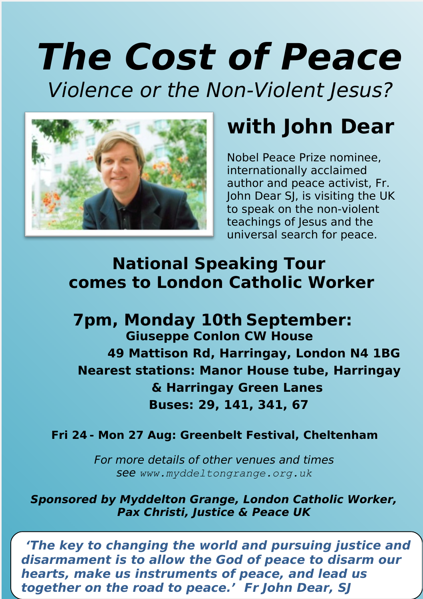# **The Cost of Peace**

Violence or the Non-Violent Jesus?



### **with John Dear**

Nobel Peace Prize nominee, internationally acclaimed author and peace activist, Fr. John Dear SJ, is visiting the UK to speak on the non-violent teachings of Jesus and the universal search for peace.

#### **National Speaking Tour comes to London Catholic Worker**

**7pm, Monday 10th September: Giuseppe Conlon CW House 49 Mattison Rd, Harringay, London N4 1BG Nearest stations: Manor House tube, Harringay & Harringay Green Lanes Buses: 29, 141, 341, 67**

#### **Fri 24 - Mon 27 Aug: Greenbelt Festival, Cheltenham**

For more details of other venues and times see *www.myddeltongrange.org.uk*

**Sponsored by Myddelton Grange, London Catholic Worker, Pax Christi, Justice & Peace UK**

 **'The key to changing the world and pursuing justice and disarmament is to allow the God of peace to disarm our hearts, make us instruments of peace, and lead us together on the road to peace.' Fr John Dear, SJ**